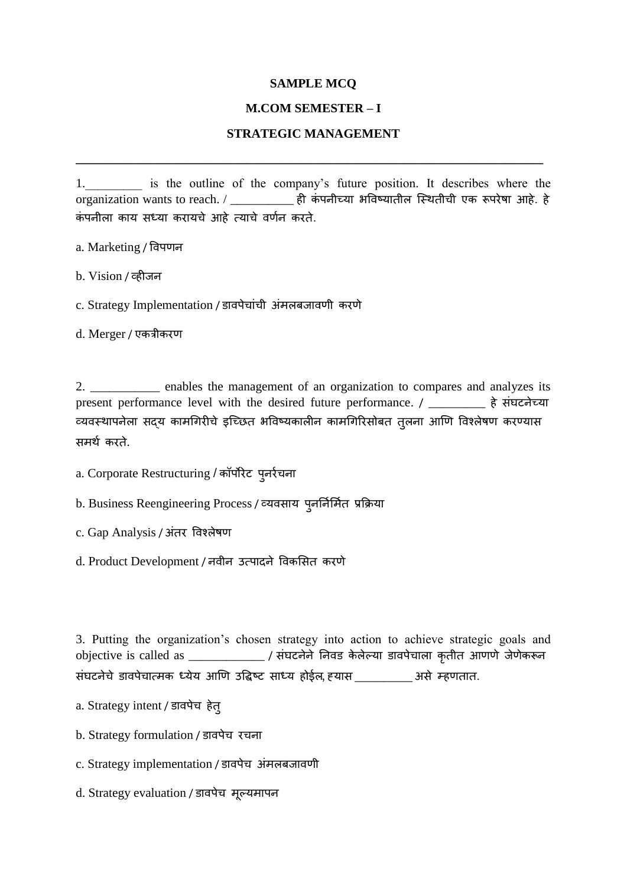## **SAMPLE MCQ**

## **M.COM SEMESTER – I**

## **STRATEGIC MANAGEMENT**

**\_\_\_\_\_\_\_\_\_\_\_\_\_\_\_\_\_\_\_\_\_\_\_\_\_\_\_\_\_\_\_\_\_\_\_\_\_\_\_\_\_\_\_\_\_\_\_\_\_\_\_\_\_\_\_\_\_\_\_\_\_\_\_\_\_\_\_\_\_\_\_\_\_\_**

1. is the outline of the company's future position. It describes where the organization wants to reach. / \_\_\_\_\_\_\_\_\_\_\_\_ ही कंपनीच्या भविष्यातील स्थितीची एक रूपरेषा आहे. हे कंपनीला काय सध्या करायचे आहे त्याचे वर्णन करते.

a. Marketing / विपणन

b. Vision / व्हीजन

c. Strategy Implementation / डावपेचांची अंमलबजावणी करणे

d. Merger / एकत्रीकयण

2. \_\_\_\_\_\_\_\_\_\_\_ enables the management of an organization to compares and analyzes its present performance level with the desired future performance. / \_\_\_\_\_\_\_\_ हे संघटनेच्या व्यवस्थापनेला सद्य कामगिरीचे इच्छित भविष्यकालीन कामगिरिसोबत तृलना आणि विश्लेषण करण्यास सभथण कयते.

a. Corporate Restructuring / कॉर्पोरेट प्*न*र्रचना

b. Business Reengineering Process / व्यवसाय पुनर्निर्मित प्रक्रिया

c. Gap Analysis / अंतर विश्लेषण

d. Product Development / नवीन उत्पादने विकसित करणे

3. Putting the organization's chosen strategy into action to achieve strategic goals and objective is called as \_\_\_\_\_\_\_\_\_\_\_\_\_\_ / संघटनेने निवड केलेल्या डावपेचाला कृतीत आणणे जेणेकरून सॊघटनेचे डािऩेचात्भक ध्मेम आणण उविष्ट साध्म होईर, ह्मास \_\_\_\_\_\_\_\_ असे म्हणतात.

a. Strategy intent / डावपेच हेत्

b. Strategy formulation / डावपेच रचना

c. Strategy implementation / डावपेच अंमलबजावणी

d. Strategy evaluation / डावपेच मूल्यमापन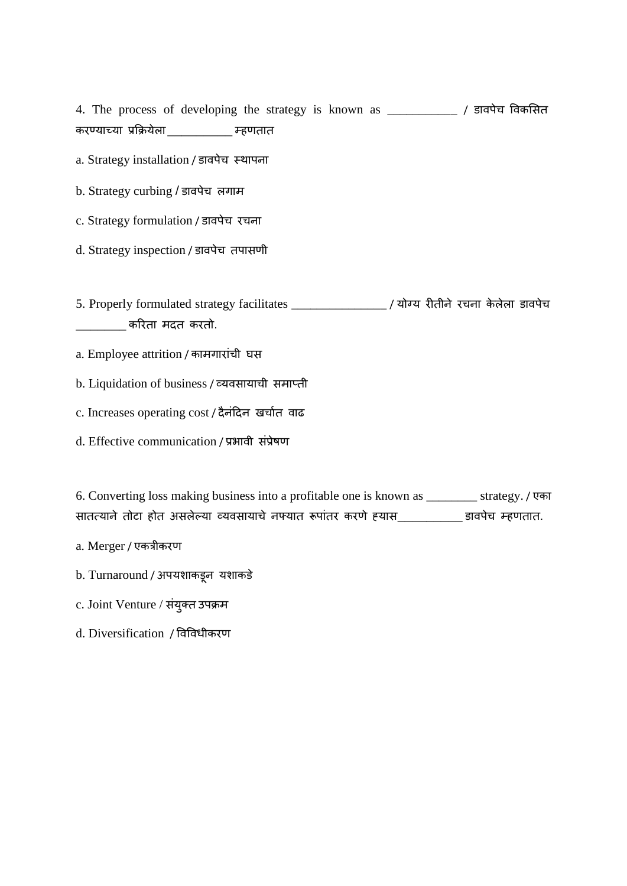4. The process of developing the strategy is known as \_\_\_\_\_\_\_\_\_\_\_ / डािऩेच विकर्सत कयण्माच्मा प्रक्रिमेरा\_\_\_\_\_\_\_\_\_ म्हणतात

a. Strategy installation / डावपेच स्थापना

b. Strategy curbing / डावपेच लगाम

c. Strategy formulation / डावपेच रचना

d. Strategy inspection / डावपेच तपासणी

5. Properly formulated strategy facilitates \_\_\_\_\_\_\_\_\_\_\_\_\_\_\_\_\_\_\_/ योग्य रीतीने रचना केलेला डावपेच  $\frac{1}{2}$ \_\_\_\_\_\_\_\_\_\_\_ करिता मदत करतो.

a. Employee attrition / कामगारांची घस

b. Liquidation of business / व्मिसामाची सभाप्ती

c. Increases operating cost / दैनंदिन खर्चात वाढ

d. Effective communication / प्रभावी संप्रेषण

6. Converting loss making business into a profitable one is known as \_\_\_\_\_\_\_\_ strategy. / एका सातत्याने तोटा होत असलेल्या व्यवसायाचे नफ्यात रूपांतर करणे ह्यास\_\_\_\_\_\_\_\_\_\_ डावपेच म्हणतात.

a. Merger / एकत्रीकयण

b. Turnaround / अपयशाकडून यशाकडे

c. Joint Venture / संयुक्त उपक्रम

d. Diversification / विविधीकयण